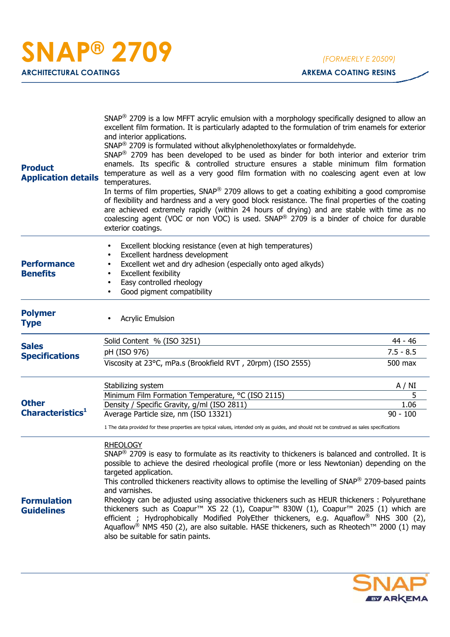| <b>Product</b><br><b>Application details</b> | SNAP <sup>®</sup> 2709 is a low MFFT acrylic emulsion with a morphology specifically designed to allow an<br>excellent film formation. It is particularly adapted to the formulation of trim enamels for exterior<br>and interior applications.<br>SNAP <sup>®</sup> 2709 is formulated without alkylphenolethoxylates or formaldehyde.<br>SNAP <sup>®</sup> 2709 has been developed to be used as binder for both interior and exterior trim<br>enamels. Its specific & controlled structure ensures a stable minimum film formation<br>temperature as well as a very good film formation with no coalescing agent even at low<br>temperatures.<br>In terms of film properties, $SNAP^{\circledast}$ 2709 allows to get a coating exhibiting a good compromise<br>of flexibility and hardness and a very good block resistance. The final properties of the coating<br>are achieved extremely rapidly (within 24 hours of drying) and are stable with time as no<br>coalescing agent (VOC or non VOC) is used. SNAP® 2709 is a binder of choice for durable<br>exterior coatings. |                                   |
|----------------------------------------------|------------------------------------------------------------------------------------------------------------------------------------------------------------------------------------------------------------------------------------------------------------------------------------------------------------------------------------------------------------------------------------------------------------------------------------------------------------------------------------------------------------------------------------------------------------------------------------------------------------------------------------------------------------------------------------------------------------------------------------------------------------------------------------------------------------------------------------------------------------------------------------------------------------------------------------------------------------------------------------------------------------------------------------------------------------------------------------|-----------------------------------|
| <b>Performance</b><br><b>Benefits</b>        | Excellent blocking resistance (even at high temperatures)<br>$\bullet$<br>Excellent hardness development<br>$\bullet$<br>Excellent wet and dry adhesion (especially onto aged alkyds)<br>$\bullet$<br>Excellent fexibility<br>$\bullet$<br>Easy controlled rheology<br>$\bullet$<br>Good pigment compatibility                                                                                                                                                                                                                                                                                                                                                                                                                                                                                                                                                                                                                                                                                                                                                                     |                                   |
| <b>Polymer</b><br><b>Type</b>                | <b>Acrylic Emulsion</b>                                                                                                                                                                                                                                                                                                                                                                                                                                                                                                                                                                                                                                                                                                                                                                                                                                                                                                                                                                                                                                                            |                                   |
| <b>Sales</b><br><b>Specifications</b>        | Solid Content % (ISO 3251)<br>pH (ISO 976)<br>Viscosity at 23°C, mPa.s (Brookfield RVT, 20rpm) (ISO 2555)                                                                                                                                                                                                                                                                                                                                                                                                                                                                                                                                                                                                                                                                                                                                                                                                                                                                                                                                                                          | 44 - 46<br>$7.5 - 8.5$<br>500 max |
| <b>Other</b><br>Characteristics <sup>1</sup> | Stabilizing system<br>Minimum Film Formation Temperature, °C (ISO 2115)<br>Density / Specific Gravity, g/ml (ISO 2811)<br>Average Particle size, nm (ISO 13321)<br>1 The data provided for these properties are typical values, intended only as guides, and should not be construed as sales specifications                                                                                                                                                                                                                                                                                                                                                                                                                                                                                                                                                                                                                                                                                                                                                                       | A / NI<br>5<br>1.06<br>$90 - 100$ |
| <b>Formulation</b><br><b>Guidelines</b>      | <b>RHEOLOGY</b><br>$SNAP^{\circledR}$ 2709 is easy to formulate as its reactivity to thickeners is balanced and controlled. It is<br>possible to achieve the desired rheological profile (more or less Newtonian) depending on the<br>targeted application.<br>This controlled thickeners reactivity allows to optimise the levelling of SNAP® 2709-based paints<br>and varnishes.<br>Rheology can be adjusted using associative thickeners such as HEUR thickeners : Polyurethane<br>thickeners such as Coapur <sup>™</sup> XS 22 (1), Coapur™ 830W (1), Coapur <sup>™</sup> 2025 (1) which are<br>efficient; Hydrophobically Modified PolyEther thickeners, e.g. Aquaflow <sup>®</sup> NHS 300 (2),<br>Aquaflow <sup>®</sup> NMS 450 (2), are also suitable. HASE thickeners, such as Rheotech™ 2000 (1) may<br>also be suitable for satin paints.                                                                                                                                                                                                                               |                                   |